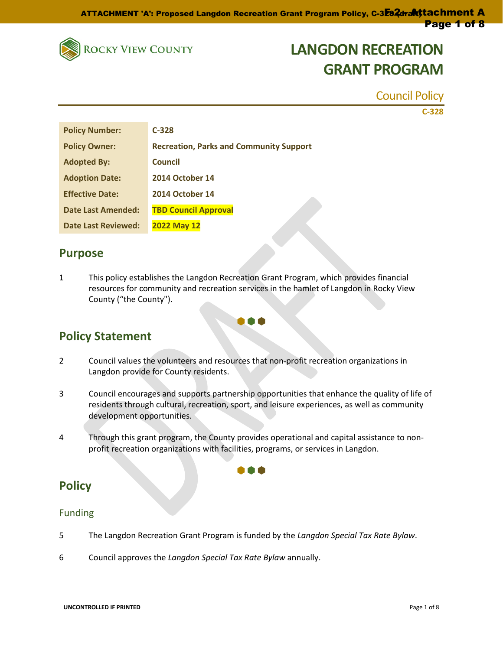

Council Policy

**C-328**

| <b>Policy Number:</b>      | $C-328$                                        |
|----------------------------|------------------------------------------------|
| <b>Policy Owner:</b>       | <b>Recreation, Parks and Community Support</b> |
| <b>Adopted By:</b>         | <b>Council</b>                                 |
| <b>Adoption Date:</b>      | <b>2014 October 14</b>                         |
| <b>Effective Date:</b>     | <b>2014 October 14</b>                         |
| <b>Date Last Amended:</b>  | <b>TBD Council Approval</b>                    |
| <b>Date Last Reviewed:</b> | <b>2022 May 12</b>                             |

### **Purpose**

1 This policy establishes the Langdon Recreation Grant Program, which provides financial resources for community and recreation services in the hamlet of Langdon in Rocky View County ("the County").

000

### **Policy Statement**

- 2 Council values the volunteers and resources that non-profit recreation organizations in Langdon provide for County residents.
- 3 Council encourages and supports partnership opportunities that enhance the quality of life of residents through cultural, recreation, sport, and leisure experiences, as well as community development opportunities.
- 4 Through this grant program, the County provides operational and capital assistance to nonprofit recreation organizations with facilities, programs, or services in Langdon.

000

### **Policy**

### Funding

- 5 The Langdon Recreation Grant Program is funded by the *Langdon Special Tax Rate Bylaw*.
- 6 Council approves the *Langdon Special Tax Rate Bylaw* annually.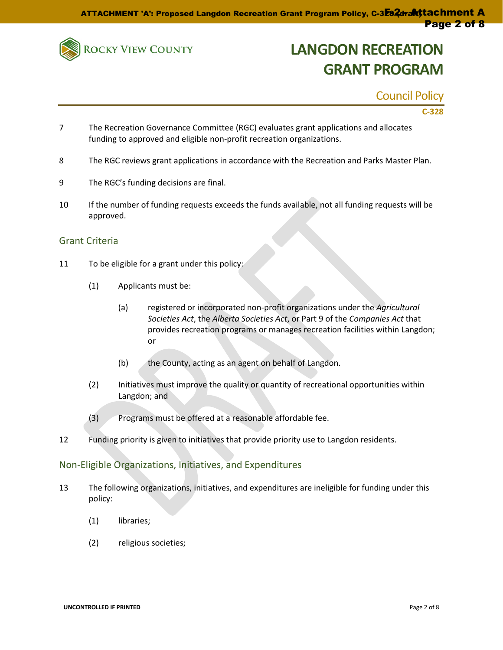

Council Policy

**C-328**

- 7 The Recreation Governance Committee (RGC) evaluates grant applications and allocates funding to approved and eligible non-profit recreation organizations.
- 8 The RGC reviews grant applications in accordance with the Recreation and Parks Master Plan.
- 9 The RGC's funding decisions are final.
- 10 If the number of funding requests exceeds the funds available, not all funding requests will be approved.

#### Grant Criteria

- 11 To be eligible for a grant under this policy:
	- (1) Applicants must be:
		- (a) registered or incorporated non-profit organizations under the *Agricultural Societies Act*, the *Alberta Societies Act*, or Part 9 of the *Companies Act* that provides recreation programs or manages recreation facilities within Langdon; or
		- (b) the County, acting as an agent on behalf of Langdon.
	- (2) Initiatives must improve the quality or quantity of recreational opportunities within Langdon; and
	- (3) Programs must be offered at a reasonable affordable fee.
- 12 Funding priority is given to initiatives that provide priority use to Langdon residents.

#### Non-Eligible Organizations, Initiatives, and Expenditures

- 13 The following organizations, initiatives, and expenditures are ineligible for funding under this policy:
	- (1) libraries;
	- (2) religious societies;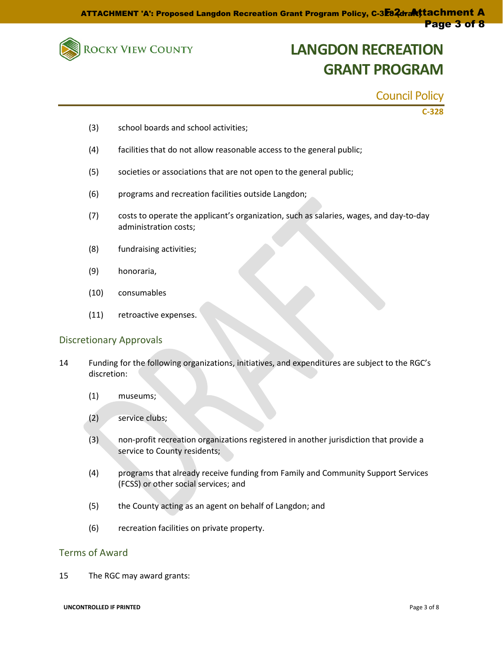

### Council Policy

**C-328**

- (3) school boards and school activities;
- (4) facilities that do not allow reasonable access to the general public;
- (5) societies or associations that are not open to the general public;
- (6) programs and recreation facilities outside Langdon;
- (7) costs to operate the applicant's organization, such as salaries, wages, and day-to-day administration costs;
- (8) fundraising activities;
- (9) honoraria,
- (10) consumables
- (11) retroactive expenses.

#### Discretionary Approvals

- 14 Funding for the following organizations, initiatives, and expenditures are subject to the RGC's discretion:
	- (1) museums;
	- (2) service clubs;
	- (3) non-profit recreation organizations registered in another jurisdiction that provide a service to County residents;
	- (4) programs that already receive funding from Family and Community Support Services (FCSS) or other social services; and
	- (5) the County acting as an agent on behalf of Langdon; and
	- (6) recreation facilities on private property.

#### Terms of Award

15 The RGC may award grants: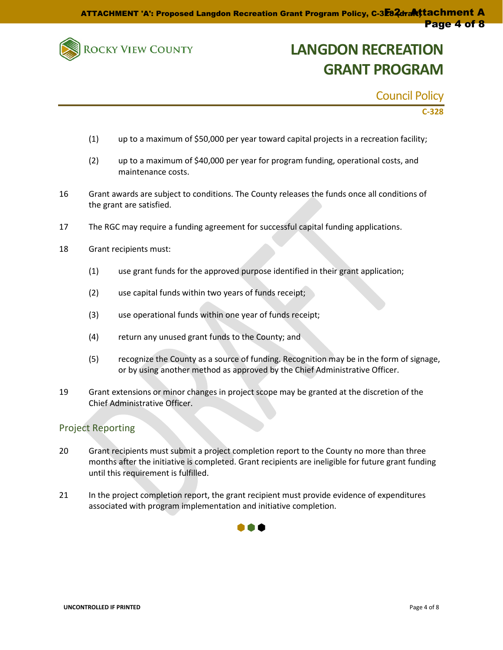

Council Policy

**C-328**

- (1) up to a maximum of \$50,000 per year toward capital projects in a recreation facility;
- (2) up to a maximum of \$40,000 per year for program funding, operational costs, and maintenance costs.
- 16 Grant awards are subject to conditions. The County releases the funds once all conditions of the grant are satisfied.
- 17 The RGC may require a funding agreement for successful capital funding applications.
- 18 Grant recipients must:
	- (1) use grant funds for the approved purpose identified in their grant application;
	- (2) use capital funds within two years of funds receipt;
	- (3) use operational funds within one year of funds receipt;
	- (4) return any unused grant funds to the County; and
	- (5) recognize the County as a source of funding. Recognition may be in the form of signage, or by using another method as approved by the Chief Administrative Officer.
- 19 Grant extensions or minor changes in project scope may be granted at the discretion of the Chief Administrative Officer.

#### Project Reporting

- 20 Grant recipients must submit a project completion report to the County no more than three months after the initiative is completed. Grant recipients are ineligible for future grant funding until this requirement is fulfilled.
- 21 In the project completion report, the grant recipient must provide evidence of expenditures associated with program implementation and initiative completion.

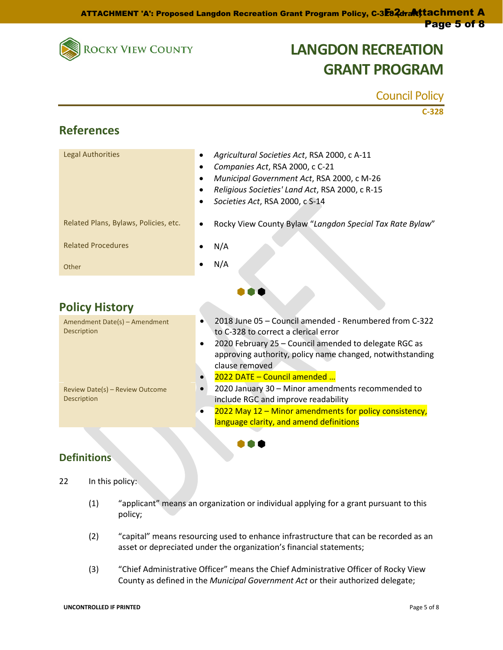

Council Policy

|                                                       | $C-328$                                                                                                                                                                                                                                             |
|-------------------------------------------------------|-----------------------------------------------------------------------------------------------------------------------------------------------------------------------------------------------------------------------------------------------------|
| <b>References</b>                                     |                                                                                                                                                                                                                                                     |
| <b>Legal Authorities</b>                              | Agricultural Societies Act, RSA 2000, c A-11<br>$\bullet$<br>Companies Act, RSA 2000, c C-21<br>$\bullet$<br>Municipal Government Act, RSA 2000, c M-26<br>Religious Societies' Land Act, RSA 2000, c R-15<br>Societies Act, RSA 2000, c S-14       |
| Related Plans, Bylaws, Policies, etc.                 | Rocky View County Bylaw "Langdon Special Tax Rate Bylaw"<br>$\bullet$                                                                                                                                                                               |
| <b>Related Procedures</b>                             | N/A                                                                                                                                                                                                                                                 |
| Other                                                 | N/A                                                                                                                                                                                                                                                 |
|                                                       |                                                                                                                                                                                                                                                     |
| <b>Policy History</b>                                 |                                                                                                                                                                                                                                                     |
| Amendment Date(s) - Amendment<br>Description          | 2018 June 05 - Council amended - Renumbered from C-322<br>to C-328 to correct a clerical error<br>2020 February 25 - Council amended to delegate RGC as<br>$\bullet$<br>approving authority, policy name changed, notwithstanding<br>clause removed |
| Review Date(s) - Review Outcome<br><b>Description</b> | 2022 DATE - Council amended<br>2020 January 30 - Minor amendments recommended to<br>include RGC and improve readability<br>2022 May 12 - Minor amendments for policy consistency,<br>language clarity, and amend definitions                        |
|                                                       |                                                                                                                                                                                                                                                     |

### **Definitions**

- 22 In this policy:
	- (1) "applicant" means an organization or individual applying for a grant pursuant to this policy;
	- (2) "capital" means resourcing used to enhance infrastructure that can be recorded as an asset or depreciated under the organization's financial statements;
	- (3) "Chief Administrative Officer" means the Chief Administrative Officer of Rocky View County as defined in the *Municipal Government Act* or their authorized delegate;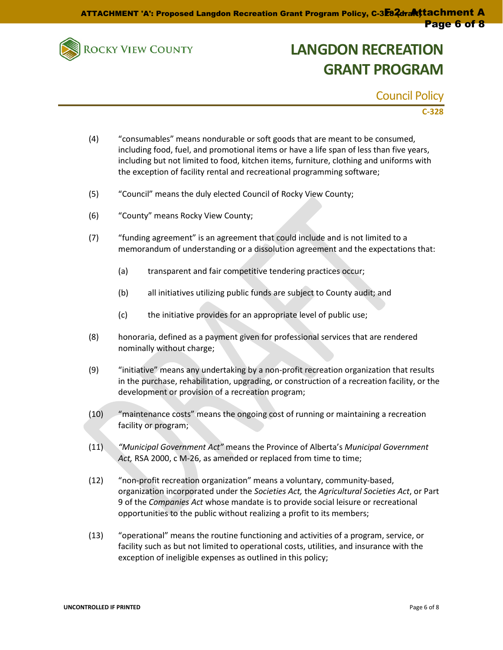

Council Policy

**C-328**

- (4) "consumables" means nondurable or soft goods that are meant to be consumed, including food, fuel, and promotional items or have a life span of less than five years, including but not limited to food, kitchen items, furniture, clothing and uniforms with the exception of facility rental and recreational programming software;
- (5) "Council" means the duly elected Council of Rocky View County;
- (6) "County" means Rocky View County;
- (7) "funding agreement" is an agreement that could include and is not limited to a memorandum of understanding or a dissolution agreement and the expectations that:
	- (a) transparent and fair competitive tendering practices occur;
	- (b) all initiatives utilizing public funds are subject to County audit; and
	- (c) the initiative provides for an appropriate level of public use;
- (8) honoraria, defined as a payment given for professional services that are rendered nominally without charge;
- (9) "initiative" means any undertaking by a non-profit recreation organization that results in the purchase, rehabilitation, upgrading, or construction of a recreation facility, or the development or provision of a recreation program;
- (10) "maintenance costs" means the ongoing cost of running or maintaining a recreation facility or program;
- (11) *"Municipal Government Act"* means the Province of Alberta's *Municipal Government Act,* RSA 2000, c M-26, as amended or replaced from time to time;
- (12) "non-profit recreation organization" means a voluntary, community-based, organization incorporated under the *Societies Act,* the *Agricultural Societies Act*, or Part 9 of the *Companies Act* whose mandate is to provide social leisure or recreational opportunities to the public without realizing a profit to its members;
- (13) "operational" means the routine functioning and activities of a program, service, or facility such as but not limited to operational costs, utilities, and insurance with the exception of ineligible expenses as outlined in this policy;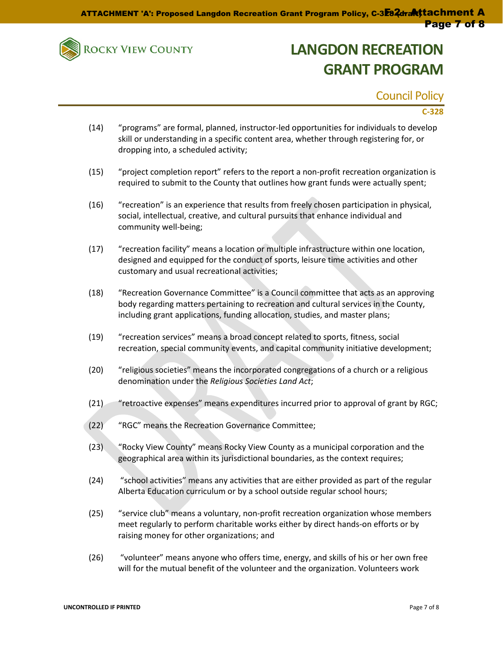

Council Policy

### **C-328**

- (14) "programs" are formal, planned, instructor-led opportunities for individuals to develop skill or understanding in a specific content area, whether through registering for, or dropping into, a scheduled activity;
- (15) "project completion report" refers to the report a non-profit recreation organization is required to submit to the County that outlines how grant funds were actually spent;
- (16) "recreation" is an experience that results from freely chosen participation in physical, social, intellectual, creative, and cultural pursuits that enhance individual and community well-being;
- (17) "recreation facility" means a location or multiple infrastructure within one location, designed and equipped for the conduct of sports, leisure time activities and other customary and usual recreational activities;
- (18) "Recreation Governance Committee" is a Council committee that acts as an approving body regarding matters pertaining to recreation and cultural services in the County, including grant applications, funding allocation, studies, and master plans;
- (19) "recreation services" means a broad concept related to sports, fitness, social recreation, special community events, and capital community initiative development;
- (20) "religious societies" means the incorporated congregations of a church or a religious denomination under the *Religious Societies Land Act*;
- (21) "retroactive expenses" means expenditures incurred prior to approval of grant by RGC;
- (22) "RGC" means the Recreation Governance Committee;
- (23) "Rocky View County" means Rocky View County as a municipal corporation and the geographical area within its jurisdictional boundaries, as the context requires;
- (24) "school activities" means any activities that are either provided as part of the regular Alberta Education curriculum or by a school outside regular school hours;
- (25) "service club" means a voluntary, non-profit recreation organization whose members meet regularly to perform charitable works either by direct hands-on efforts or by raising money for other organizations; and
- (26) "volunteer" means anyone who offers time, energy, and skills of his or her own free will for the mutual benefit of the volunteer and the organization. Volunteers work